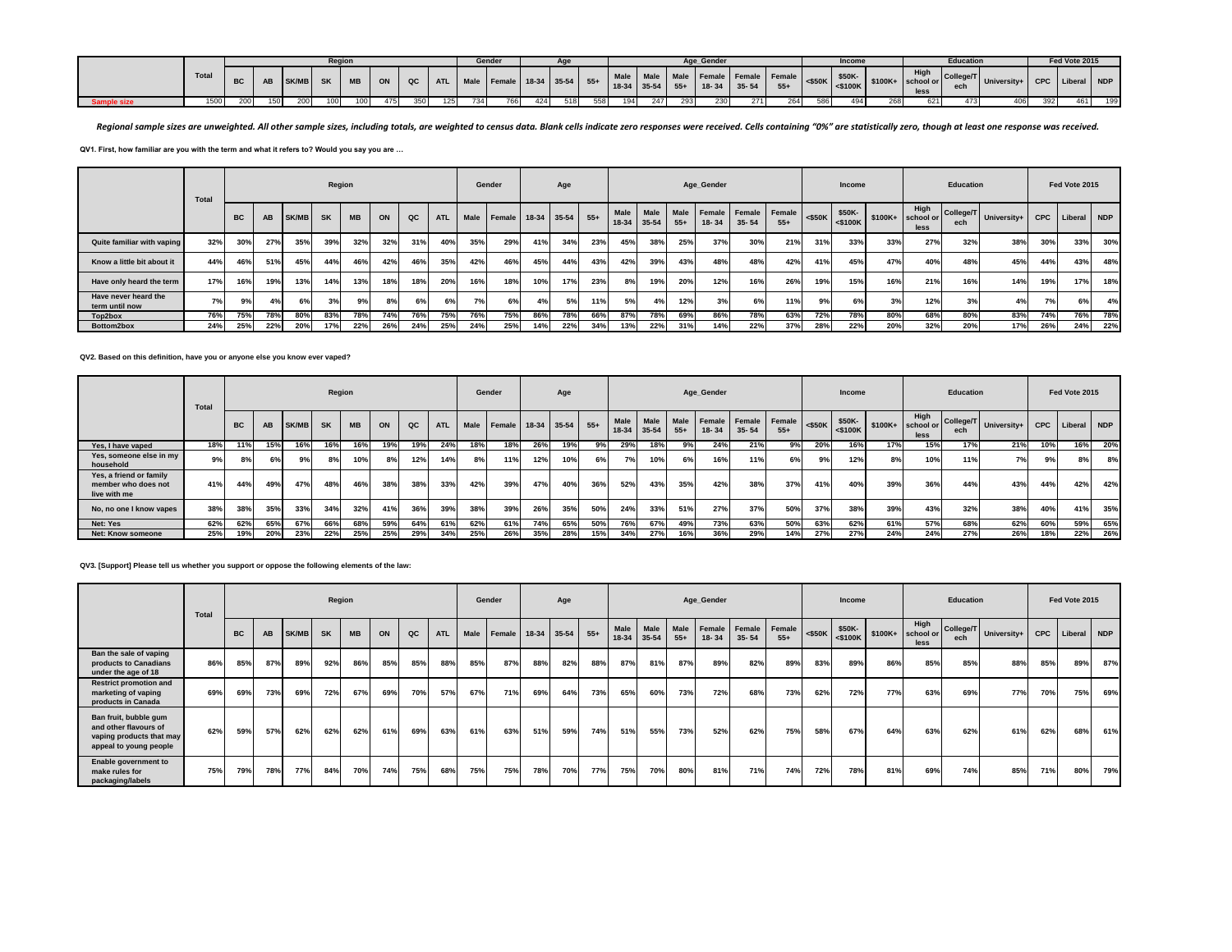|           |       |           |     |              | Region |           |     |     |     |     | Gender |     |     |     |     |     |     | Aae Gender |     |                                                                                   |      | Income |     | <b>Education</b> |                                          | Fed Vote 2015 |     |
|-----------|-------|-----------|-----|--------------|--------|-----------|-----|-----|-----|-----|--------|-----|-----|-----|-----|-----|-----|------------|-----|-----------------------------------------------------------------------------------|------|--------|-----|------------------|------------------------------------------|---------------|-----|
|           | Total | <b>BC</b> |     | <b>SK/MB</b> |        | <b>MB</b> | ON  |     |     |     |        |     |     |     |     |     |     |            |     | uc   ATL   Male   Female   18-34   35-54   55+   18-34   55+   18-34   35-54   FE |      |        |     |                  | or College/T University+ CPC Liberal NDP |               |     |
| mple size | 1500  |           | 150 | 200 l        |        | 100       | 475 | 350 | 125 | 734 | 766    | 424 | 518 | 558 | 194 | 247 | 293 | 230        | 271 | 264                                                                               | 5861 | 494 I  | 621 | 473              | 406                                      | 461           | 199 |

Regional sample sizes are unweighted. All other sample sizes, including totals, are weighted to census data. Blank cells indicate zero responses were received. Cells containing "0%" are statistically zero, though at least

**QV1. First, how familiar are you with the term and what it refers to? Would you say you are …**

|                                        | Total |           |     |       | Region    |           |     |     |            |      | Gender             |     | Age |       |                     |             |                      | Age_Gender |                                   |       |           | Income                  |         |                           | <b>Education</b> |             |            | Fed Vote 2015 |            |
|----------------------------------------|-------|-----------|-----|-------|-----------|-----------|-----|-----|------------|------|--------------------|-----|-----|-------|---------------------|-------------|----------------------|------------|-----------------------------------|-------|-----------|-------------------------|---------|---------------------------|------------------|-------------|------------|---------------|------------|
|                                        |       | <b>BC</b> | AB  | SK/MB | <b>SK</b> | <b>MB</b> | ON  | QC  | <b>ATL</b> | Male | Female 18-34 35-54 |     |     | $55+$ | Male<br>18-34 35-54 | <b>Male</b> | <b>Male</b><br>$55+$ | $18 - 34$  | Female Female Female<br>$35 - 54$ | $55+$ | $<$ \$50K | \$50K-<br>$<$ \$100 $K$ | \$100K+ | High<br>school or<br>less | College/T<br>ech | University+ | <b>CPC</b> | Liberal       | <b>NDP</b> |
| Quite familiar with vaping             | 32%   | 30%       | 27% | 35%   | 39%       | 32%       | 32% | 31% | 40%        | 35%  | 29%                | 41% | 34% | 23%   | 45%                 | 38%         | 25%                  | 37%        | 30%                               | 21%   | 31%       | 33%                     | 33%     | 27%                       | 32%              | 38%         | 30%        | 33%           | 30%        |
| Know a little bit about it             | 44%   | 46%       | 51% | 45%   | 44%       | 46%       | 42% | 46% | 35%        | 42%  | 46%                | 45% | 44% | 43%   | 42%                 | 39%         | 43%                  | 48%        | 48%                               | 42%   | 41%       | 45%                     | 47%     | 40%                       | 48%              | 45%         | 44%        | 43%           | 48%        |
| Have only heard the term               | 17%   | 16%       | 19% | 13%   | 14%       | 13%       | 18% | 18% | 20%        | 16%  | 18%                | 10% | 17% | 23%   | 8%                  | 19%         | 20%                  | 12%        | 16%                               | 26%   | 19%       | 15%                     | 16%     | 21%                       | 16%              | 14%         | 19%        | 17%           | 18%        |
| Have never heard the<br>term until now | 7%    | 9%        | 4%  | 6%    | 3%        | 9%        | 8%  | 6%  | 6%         | 7%   | 6%                 |     | 5%  | 11%   | 5%                  | 4%          | 12%                  | 3%         | 6%                                | 11%   | 9%        | 6%                      | 3%      | 12%                       | 3%               | 4%          | 7%         | 6%            | 4%         |
| Top2box                                | 76%   | 75%       | 78% | 80%   | 83%       | 78%       | 74% | 76% | 75%        | 76%  | 75%                | 86% | 78% | 66%   | 87%                 | 78%         | 69%                  | 86%        | 78%                               | 63%   | 72%       | 78%                     | 80%     | 68%                       | 80%              | 83%         | 74%        | 76%           | 78%        |
| Bottom2box                             | 24%   | 25%       | 22% | 20%   | 17%       | 22%       | 26% | 24% | 25%        | 24%  | 25%                | 14% | 22% | 34%   | 13%                 | 22%         | 31%                  | 14%        | 22%                               | 37%   | 28%       | 22%                     | 20%     | 32%                       | 20%              | 17%         | 26%        | 24%           | 22%        |

**QV2. Based on this definition, have you or anyone else you know ever vaped?**

|                                                                | Total |           |     |              | Region    |           |     |     |            |      | Gender             |     | Age |       |                     |             |                      | Age Gender |                                   |       |           | Income                  |         |                           | <b>Education</b> |             |            | Fed Vote 2015 |            |
|----------------------------------------------------------------|-------|-----------|-----|--------------|-----------|-----------|-----|-----|------------|------|--------------------|-----|-----|-------|---------------------|-------------|----------------------|------------|-----------------------------------|-------|-----------|-------------------------|---------|---------------------------|------------------|-------------|------------|---------------|------------|
|                                                                |       | <b>BC</b> | AB  | <b>SK/MB</b> | <b>SK</b> | <b>MB</b> | ON  | QC  | <b>ATL</b> | Male | Female 18-34 35-54 |     |     | $55+$ | Male<br>18-34 35-54 | <b>Male</b> | <b>Male</b><br>$55+$ | $18 - 34$  | Female Female Female<br>$35 - 54$ | $55+$ | $<$ \$50K | \$50K-<br>$<$ \$100 $K$ | \$100K+ | High<br>school or<br>less | College/T<br>ech | University+ | <b>CPC</b> | Liberal       | <b>NDP</b> |
| Yes. I have vaped                                              | 18%   | 11%       | 15% | 16%          | 16%       | 16%       | 19% | 19% | 24%        | 18%  | 18%                | 26% | 19% | 9%    | 29%                 | 18%         | 9%                   | 24%        | 21%                               | 9%    | 20%       | 16%                     | 17%     | 15%                       | 17%              | 21%         | 10%        | 16%           | 20%        |
| Yes, someone else in my<br>household                           | 9%    | 8%        | 6%  | 9%           | 8%        | 10%       | 8%  | 12% | 14%        | 8%   | 11%                | 12% | 10% | 6%    | 7%                  | 10%         | 6%                   | 16%        | 11%                               | 6%    | 9%        | 12%                     | 8%      | 10%                       | 11%              | 7%          | 9%         | 8%            | 8%         |
| Yes, a friend or family<br>member who does not<br>live with me | 41%   | 44%       | 49% | 47%          | 48%       | 46%       | 38% | 38% | 33%        | 42%  | 39%                | 47% | 40% | 36%   | 52%                 | 43%         | 35%                  | 42%        | 38%                               | 37%   | 41%       | 40%                     | 39%     | 36%                       | 44%              | 43%         | 44%        | 42%           | 42%        |
| No, no one I know vapes                                        | 38%   | 38%       | 35% | 33%          | 34%       | 32%       | 41% | 36% | 39%        | 38%  | 39%                | 26% | 35% | 50%   | 24%                 | 33%         | 51%                  | 27%        | 37%                               | 50%   | 37%       | 38%                     | 39%     | 43%                       | 32%              | 38%         | 40%        | 41%           | 35%        |
| Net: Yes                                                       | 62%   | 62%       | 65% | 67%          | 66%       | 68%       | 59% | 64% | 61%        | 62%  | 61%                | 74% | 65% | 50%   | 76%                 | 67%         | 49%                  | 73%        | 63%                               | 50%   | 63%       | 62%                     | 61%     | 57%                       | 68%              | 62%         | 60%        | 59%           | 65%        |
| Net: Know someone                                              | 25%   | 19%       | 20% | 23%          | 22%       | 25%       | 25% | 29% | 34%        | 25%  | 26%                | 35% | 28% | 15%   | 34%                 | 27%         | 16%                  | 36%        | 29%                               | 14%   | 27%       | 27%                     | 24%     | 24%                       | 27%              | 26%         | 18%        | 22%           | 26%        |

#### **QV3. [Support] Please tell us whether you support or oppose the following elements of the law:**

|                                                                                                      | Total |           |     |       | Region    |           |     |     |            |      | Gender |     | Age         |       |                      |                   |               | Age_Gender          |                     |                 |           | Income               |          |                           | <b>Education</b> |             |     | Fed Vote 2015   |     |
|------------------------------------------------------------------------------------------------------|-------|-----------|-----|-------|-----------|-----------|-----|-----|------------|------|--------|-----|-------------|-------|----------------------|-------------------|---------------|---------------------|---------------------|-----------------|-----------|----------------------|----------|---------------------------|------------------|-------------|-----|-----------------|-----|
|                                                                                                      |       | <b>BC</b> | AB  | SK/MB | <b>SK</b> | <b>MB</b> | ON  | QC  | <b>ATL</b> | Male | Female |     | 18-34 35-54 | $55+$ | <b>Male</b><br>18-34 | Male<br>$35 - 54$ | Male<br>$55+$ | Female<br>$18 - 34$ | Female<br>$35 - 54$ | Female<br>$55+$ | $<$ \$50K | \$50K-<br>$<$ \$100K | $$100K+$ | High<br>school or<br>less | College/T<br>ech | University+ |     | CPC Liberal NDP |     |
| Ban the sale of vaping<br>products to Canadians<br>under the age of 18                               | 86%   | 85%       | 87% | 89%   | 92%       | 86%       | 85% | 85% | 88%        | 85%  | 87%    | 88% | 82%         | 88%   | 87%                  | 81%               | 87%           | 89%                 | 82%                 | 89%             | 83%       | 89%                  | 86%      | 85%                       | 85%              | 88%         | 85% | 89%             | 87% |
| <b>Restrict promotion and</b><br>marketing of vaping<br>products in Canada                           | 69%   | 69%       | 73% | 69%   | 72%       | 67%       | 69% | 70% | 57%        | 67%  | 71%    | 69% | 64%         | 73%   | 65%                  | 60%               | 73%           | 72%                 | 68%                 | 73%             | 62%       | 72%                  | 77%      | 63%                       | 69%              | 77%         | 70% | 75%             | 69% |
| Ban fruit, bubble gum<br>and other flavours of<br>vaping products that may<br>appeal to young people | 62%   | 59%       | 57% | 62%   | 62%       | 62%       | 61% | 69% | 63%        | 61%  | 63%    | 51% | 59%         | 74%   | 51%                  | 55%               | 73%           | 52%                 | 62%                 | 75%             | 58%       | 67%                  | 64%      | 63%                       | 62%              | 61%         | 62% | 68%             | 61% |
| Enable government to<br>make rules for<br>packaging/labels                                           | 75%   | 79%       | 78% | 77%   | 84%       | 70%       | 74% | 75% | 68%        | 75%  | 75%    | 78% | 70%         | 77%   | 75%                  | <b>70%</b>        | 80%           | 81%                 | 71%                 | 74%             | 72%       | 78%                  | 81%      | 69%                       | 74%              | 85%         | 71% | 80%             | 79% |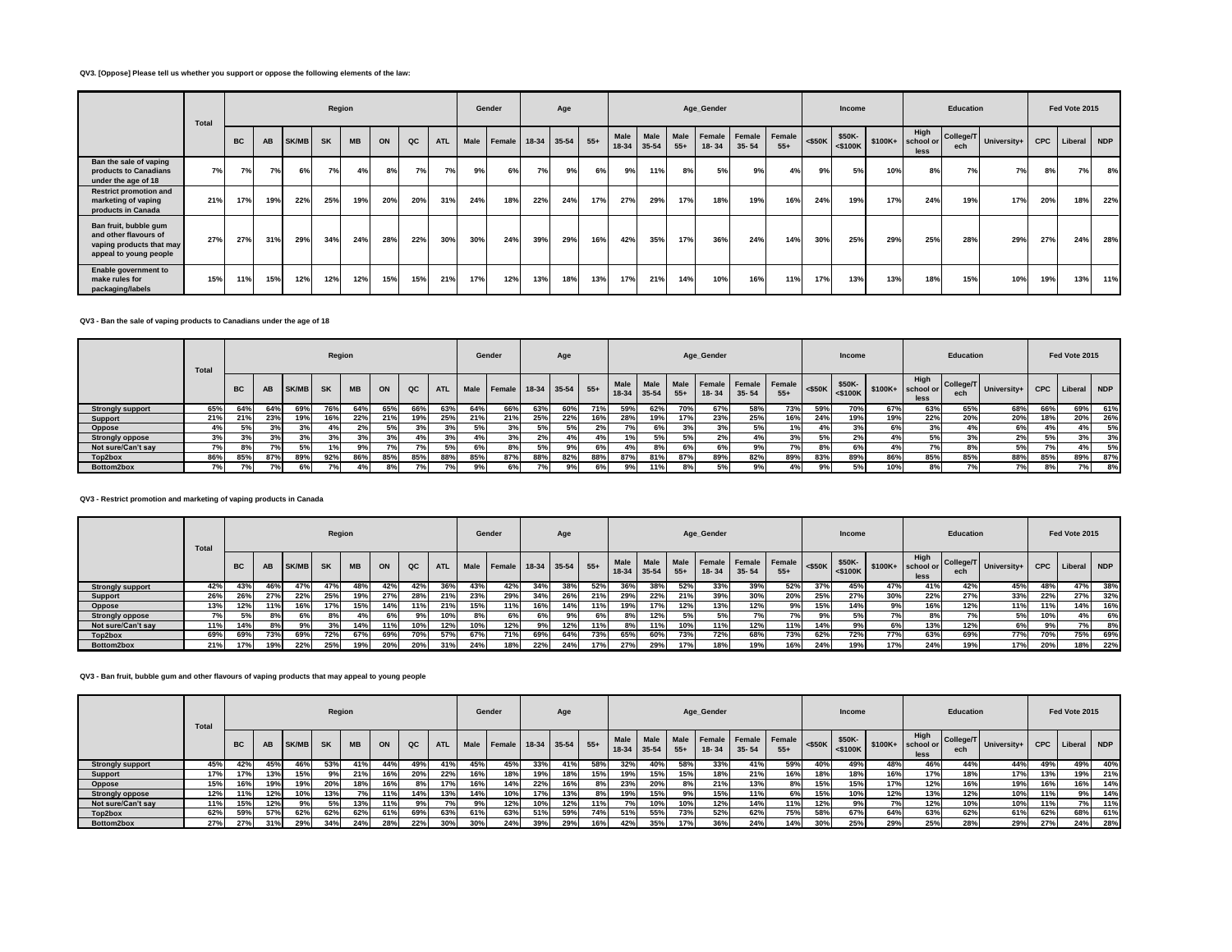# **QV3. [Oppose] Please tell us whether you support or oppose the following elements of the law:**

|                                                                                                      | Total |           |     |       | Region    |           |     |     |     |      | Gender |     | Age         |       |                      |               |               | Age_Gender |                                   |       |           | Income               |         |                           | Education        |             |            | Fed Vote 2015 |     |
|------------------------------------------------------------------------------------------------------|-------|-----------|-----|-------|-----------|-----------|-----|-----|-----|------|--------|-----|-------------|-------|----------------------|---------------|---------------|------------|-----------------------------------|-------|-----------|----------------------|---------|---------------------------|------------------|-------------|------------|---------------|-----|
|                                                                                                      |       | <b>BC</b> | AB  | SK/MB | <b>SK</b> | <b>MB</b> | ON  | QC  | ATL | Male | Female |     | 18-34 35-54 | $55+$ | <b>Male</b><br>18-34 | Male<br>35-54 | Male<br>$55+$ | $18 - 34$  | Female Female Female<br>$35 - 54$ | $55+$ | $<$ \$50K | \$50K-<br>$<$ \$100K | \$100K+ | High<br>school or<br>less | College/T<br>ech | University+ | <b>CPC</b> | Liberal NDP   |     |
| Ban the sale of vaping<br>products to Canadians<br>under the age of 18                               | 7%    | 7%        | 7%  | 6%    | 7%        | 4%        | 8%  | 7%  | 7%  | 9%   | 6%     | 7%  | 9%          | 6%    | 9%                   | 11%           | 8%            | 5%         | 9%                                | 4%    | 9%        | 5%                   | 10%     | 8%                        | 7%               | 7%          | 8%         | 7%            | 8%  |
| <b>Restrict promotion and</b><br>marketing of vaping<br>products in Canada                           | 21%   | 17%       | 19% | 22%   | 25%       | 19%       | 20% | 20% | 31% | 24%  | 18%    | 22% | 24%         | 17%   | 27%                  | 29%           | 17%           | 18%        | 19%                               | 16%   | 24%       | 19%                  | 17%     | 24%                       | 19%              | 17%         | 20%        | 18%           | 22% |
| Ban fruit, bubble gum<br>and other flavours of<br>vaping products that may<br>appeal to young people | 27%   | 27%       | 31% | 29%   | 34%       | 24%       | 28% | 22% | 30% | 30%  | 24%    | 39% | 29%         | 16%   | 42%                  | 35%           | 17%           | 36%        | 24%                               | 14%   | 30%       | 25%                  | 29%     | 25%                       | 28%              | 29%         | 27%        | 24%           | 28% |
| Enable government to<br>make rules for<br>packaging/labels                                           | 15%   | 11%       | 15% | 12%   | 12%       | 12%       | 15% | 15% | 21% | 17%  | 12%    | 13% | 18%         | 13%   | 17%                  | 21%           | 14%           | 10%        | 16%                               | 11%   | 17%       | 13%                  | 13%     | 18%                       | 15%              | 10%         | 19%        | 13%           | 11% |

# **QV3 - Ban the sale of vaping products to Canadians under the age of 18**

|                         | Total |           |      |              | Region    |           |     |             |            |      | Gender              |     | Age       |       |                     |      |       | Age_Gender |                                        |       |           | Income                  |         |                           | <b>Education</b> |             |            | Fed Vote 2015 |            |
|-------------------------|-------|-----------|------|--------------|-----------|-----------|-----|-------------|------------|------|---------------------|-----|-----------|-------|---------------------|------|-------|------------|----------------------------------------|-------|-----------|-------------------------|---------|---------------------------|------------------|-------------|------------|---------------|------------|
|                         |       | <b>BC</b> | AB   | <b>SK/MB</b> | <b>SK</b> | <b>MB</b> | ON  | $_{\rm QC}$ | <b>ATL</b> | Male | <b>Female</b> 18-34 |     | $35 - 54$ | $55+$ | Male<br>18-34 35-54 | Male | $55+$ | 18-34      | Male Female Female Female<br>$35 - 54$ | $55+$ | $<$ \$50K | \$50K-<br>$<$ \$100 $K$ | \$100K+ | High<br>school or<br>less | College/T<br>ech | University+ | <b>CPC</b> | Liberal       | <b>NDP</b> |
| <b>Strongly support</b> | 65%   | 64%       | 64%  | 69%          |           | 64%       | 65% | 66%         | 63%        | 64%  | 66%                 | 63% | 60%       | 71%   | 59%                 | 62%  | 70%   | 67%        | 58%                                    | 73%   | 59%       | 70%                     | 67%     | 63%                       | 65%              | 68%         | 66%        | 69%           | 61%        |
| <b>Support</b>          | 21%   | 21%       | 23%  | 19%          |           | 22%       | 21% | 19%         | 25%        | 21%  | 21%                 | 25% | 22%       |       | 28%                 | 19%  | 17%   | 23%        | 25%                                    | 16%   | 24%       | 19%                     | 19%     | 22%                       | 20%              | 20%         | 18%        | 20%           | 26%        |
| <b>Oppose</b>           | 4%    | 5%        | 3%   | 3%           | 4%        | 2%        | 5%  | 3%          | 3%         | 5%   | 3%                  | 5%  | 5%        | 2%    |                     | 6%   | 3%    | 3%         | 5%                                     | 1%    | 4%        | 3%                      | 6%      | 3%                        | 4%               | 6%          |            | 4%            | 5%         |
| <b>Strongly oppose</b>  | 3%    | 3%        | 3%   |              | 3%        | 3%        | 3%  | 4%          | 3%         | 4%   | 3%                  | 2%  |           | 4%    | 1%                  |      | 5%    | 2%         | 4%                                     | 3%    | 5%        | 2%                      | 4%      | 5%                        | 3%               | 2%          | 5%         | 3%            | 3%         |
| Not sure/Can't say      | 7%    | 8%        |      |              | 1%        | 9%        | 7%  | 7%          | 5%         | 6%   | 8%                  |     |           | 6%    | 4%                  | 8%   | 6%    | 6%         | 9%                                     | 7%    | 8%        | 6%                      |         | 7%                        | 8%               | 5%          |            | 4%            | 5%         |
| Top2box                 | 86%   | 85%       | 87%  | 89%          | 92%       | 86%       | 85% | 85%         | 88%        | 85%  | 87%                 | 88% | 82%       | 88%   | 87%                 | 81%  | 87%   | 89%        | 82%                                    | 89%   | 83%       | 89%                     | 86%     | 85%                       | 85%              | 88%         | 85%        | 89%           | 87%        |
| Bottom2box              | 7%1   | 7%        | 70/2 | 6%           | 7%        | 4%        | 8%  | 70          |            |      | 6%                  |     |           | 6%    |                     | 11%  | 8%    | 5%         | 9%                                     | 4%    | 9%        | 5%                      | 10%     | 8%                        | 70/2             | 7%          |            | 7%            | 8%         |

## **QV3 - Restrict promotion and marketing of vaping products in Canada**

|                         | Total |           |     |              | Region    |           |     |     |            |             | Gender |     | Age         |       |                            |      |               | Age_Gender |                                   |                 |           | <b>Income</b>         |            |                           | <b>Education</b> |             |            | Fed Vote 2015 |       |
|-------------------------|-------|-----------|-----|--------------|-----------|-----------|-----|-----|------------|-------------|--------|-----|-------------|-------|----------------------------|------|---------------|------------|-----------------------------------|-----------------|-----------|-----------------------|------------|---------------------------|------------------|-------------|------------|---------------|-------|
|                         |       | <b>BC</b> | AB  | <b>SK/MB</b> | <b>SK</b> | <b>MB</b> | ON  | QC  | <b>ATL</b> | <b>Male</b> | Female |     | 18-34 35-54 | $55+$ | <b>Male</b><br>18-34 35-54 | Male | Male<br>$55+$ | $18 - 34$  | <b>Female Female</b><br>$35 - 54$ | Female<br>$55+$ | $<$ \$50K | \$50K-<br>$s = 5100K$ | \$100K+    | High<br>school or<br>less | College/T<br>ech | University+ | <b>CPC</b> | Liberal       | I NDP |
| <b>Strongly support</b> | 42%   | 43%       | 46% |              | 47%       |           | 42% | 42% | 36%        | 43%         | 42%    | 34% | 38%         | 52%   | 36%                        | 38%  | 52%           | 33%        | 39%                               | 52%             | 37%       | 45%                   | 47%        | 41%                       | 42%              | 45%         | 48%        | 47%           | 38%   |
| Support                 | 26%   | 26%       | 27% | 22%          | 25%       | 19%       | 27% | 28% | 21%        | 23%         | 29%    | 34% | 26%         | 21%   | 29%                        | 22%  | 21%           | 39%        | 30%                               | 20%             | 25%       | 27%                   | 30%        | 22%                       | 27%              | 33%         | 22%        | 27%           | 32%   |
| Oppose                  | 13%   | 12%       | 11% | 16%          | 17%       | 15%       | 14% | 11% | 21%        | 15%         | 11%    | 16% | 14%         | 11%   | 19%                        | 17%  | 12%           | 13%        | 12%                               | 9%              | 15%       | 14%                   | 9%         | 16%                       | 12%              | 11%         | 11%        | 14%           | 16%   |
| <b>Strongly oppose</b>  | 7%    | 5%        | 8%  | 6% I         | 8%        |           | 6%  | 9%  | 10%        | 8%          | 6%     | 6%  | <b>9%.</b>  | 6%    | 8%                         | 12%  | 5%            | 5%         | 7%                                | 7%              | 9%।       | 5%                    | 7%1        | 8%                        | 7%               | 5%          | 10%        | 4%            | 6%    |
| Not sure/Can't sav      | 11%   | 14%       | 8%  | 9%           | 3%        | 14%       | 11% | 10% | 12%        | 10%         | 12%    | 9%  | 12%         | 11%   |                            | 11%  | 10%           | 11%        | 12%                               | 11%             | 14%       | 9%                    | 6%         | 13%                       | 12%              | 6%          | 9%         |               | 8%    |
| Top2box                 | 69%   | 69%       | 73% | 69%          | 72%       | 67%       | 69% | 70% | 57%        | 67%         | 71%    | 69% | 64%         | 73%   | 65%                        | 60%  | 73%           | 72%        | 68%                               | 73%             | 62%       | 72%                   | <b>77%</b> | 63%                       | 69%              | 77%         | 70%        | 75%           | 69%   |
| Bottom2box              | 21%   | 17%       | 19% | 22%          | 25%       | 19%       | 20% | 20% | 31%        | 24%         | 18%    | 22% | 24%         | 17%   | 27%                        | 29%  | 17%           | 18%        | 19%                               | 16%             | 24%       | 19%                   | 17%        | 24%                       | 19%              | 17%         | 20%        | 18%           | 22%   |

# **QV3 - Ban fruit, bubble gum and other flavours of vaping products that may appeal to young people**

|                         | Total |           |     |              | Region    |           |     |     |            |      | Gender       |     | Age       |       |                     |             |                      | Age_Gender |                                         |       |           | Income                  |          |                           | <b>Education</b> |             |            | Fed Vote 2015 |     |
|-------------------------|-------|-----------|-----|--------------|-----------|-----------|-----|-----|------------|------|--------------|-----|-----------|-------|---------------------|-------------|----------------------|------------|-----------------------------------------|-------|-----------|-------------------------|----------|---------------------------|------------------|-------------|------------|---------------|-----|
|                         |       | <b>BC</b> | AB  | <b>SK/MB</b> | <b>SK</b> | <b>MB</b> | ON  | QC  | <b>ATL</b> | Male | Female 18-34 |     | $35 - 54$ | $55+$ | Male<br>18-34 35-54 | <b>Male</b> | <b>Male</b><br>$55+$ | $18 - 34$  | I Female   Female   Female<br>$35 - 54$ | $55+$ | $<$ \$50K | \$50K-<br>$<$ \$100 $K$ | $$100K+$ | High<br>school or<br>less | College/T<br>ech | University+ | <b>CPC</b> | Liberal       | NDP |
| <b>Strongly support</b> | 45%   | 42%       | 45% | 46%          | 53%       | 41%       | 44% | 49% | 41%        | 45%  | 45%          | 33% | 41%       | 58%   | 32%                 | 40%         | 58%                  | 33%        | 41%                                     | 59%   | 40%       | 49%                     | 48%      | 46%                       | 44%              | 44%         | 49%        | 49%           | 40% |
| Support                 | 17%   | 17%       | 13% | 15%          | 9%        | 21%       | 16% | 20% | 22%        | 16%  | 18%          | 19% | 18%       | 15%   | 19%                 | 15%         | 15%                  | 18%        | 21%                                     | 16%   | 18%       | 18%                     | 16%      | 17%                       | 18%              | 17%         | 13%        | 19%           | 21% |
| <b>Oppose</b>           | 15%   | 16%       | 19% | 19%          | 20%       | 18%       | 16% | 8%  | 17%        | 16%  | 14%          | 22% | 16%       | 8%    | 23%                 | 20%         | 8%                   | 21%        | 13%                                     | 8%    | 15%       | 15%                     | 17%      | 12%                       | 16%              | 19%         | 16%        | 16%           | 14% |
| <b>Strongly oppose</b>  | 12%   | 11%       | 12% | 10%          | 13%       |           | 11% | 14% | 13%        | 14%  | 10%          | 17% | 13%       | 8%    | 19%                 | 15%         | 9%                   | 15%        | 11%                                     | 6%    | 15%       | 10%                     | 12%      | 13%                       | 12%              | 10%         | 11%        | 9%            | 14% |
| Not sure/Can't say      | 11%   | 15%       | 12% | 9%           |           | 13%       | 11% | 9%  | 7%         |      | 12%          | 10% | 12%       |       |                     | 10%         | 10%                  | 12%        | 14%                                     | 11%   | 12%       | 9%                      | 70/      | 12%                       | 10%              | 10%         | 11%        | 7%            | 11% |
| Top2box                 | 62%   | 59%       | 57% | 62%          | 62%       | 62%       | 61% | 69% | 63%        | 61%  | 63%          | 51% | 59%       | 74%   | 51%                 | 55%         | 73%                  | 52%        | 62%                                     | 75%   | 58%       | 67%                     | 64%      | 63%                       | 62%              | 61%         | 62%        | 68%           | 61% |
| Bottom2box              | 27%   | 27%       | 31% | 29%          | 34%       | 24%       | 28% | 22% | 30%        | 30%  | 24%          | 39% | 29%       | 16%   | 42%                 | 35%         | 17%                  | 36%        | 24%                                     | 14%   | 30%       | 25%                     | 29%      | 25%                       | 28%              | 29%         | 27%        | 24%           | 28% |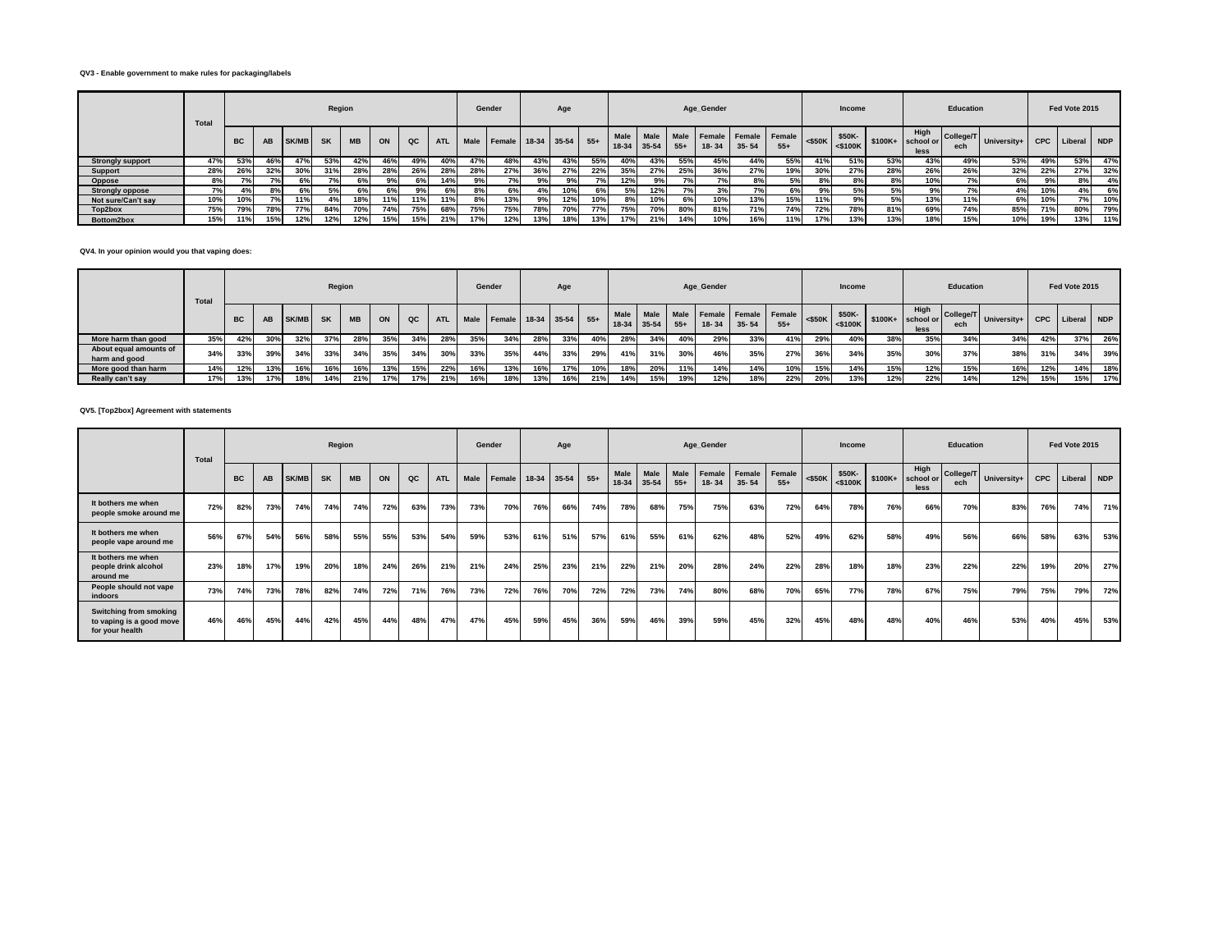# **QV3 - Enable government to make rules for packaging/labels**

|                         | Total |           |           |              |           | Region     |     |     |            |      | Gender     |               | Age |       |                          |                   |               | Age_Gender |                                   |       |           | Income               |          |                           | <b>Education</b> |             |            | Fed Vote 2015 |     |
|-------------------------|-------|-----------|-----------|--------------|-----------|------------|-----|-----|------------|------|------------|---------------|-----|-------|--------------------------|-------------------|---------------|------------|-----------------------------------|-------|-----------|----------------------|----------|---------------------------|------------------|-------------|------------|---------------|-----|
|                         |       | <b>BC</b> | <b>AB</b> | <b>SK/MB</b> | <b>SK</b> | <b>MB</b>  | ON  | QC  | <b>ATL</b> | Male | Female     | $18-34$ 35-54 |     | $55+$ | <b>Male</b><br>$18 - 34$ | Male<br>$35 - 54$ | Male<br>$55+$ | $18 - 34$  | Female Female Female<br>$35 - 54$ | $55+$ | $<$ \$50K | \$50K-<br>$<$ \$100K | $$100K+$ | High<br>school or<br>less | College/T<br>ech | University+ | <b>CPC</b> | Liberal NDP   |     |
| <b>Strongly support</b> | 47%   | 53%       | 46%       |              | 53%       | 42%        | 46% | 49% | 40%        | 47%  | 48%        | 43%           | 43% | 55%   | 40%                      | 43%               | 55%           | 45%        | 44%                               | 55%   | 41%       | 51%                  | 53%      | 43%                       | 49%              | 53%         | 49%        | 53%           | 47% |
| <b>Support</b>          | 28%   | 26%       | 32%       | 30%          | 31%       | 28%        | 28% | 26% | 28%        | 28%  | <b>27%</b> | 36%           | 27% | 22%   | 35%                      | 27%               | 25%           | 36%        | 27%                               | 19%   | 30%       | 27%                  | 28%      | 26%                       | 26%              | 32%         | 22%        | 27%           | 32% |
| <b>Oppose</b>           | 8%    | 7%        | 7%        | 6%           | 7%1       |            |     | 6%  | 14%        | 9%   | 7%         | 9%            | 9%  | 7%1   | 12%                      |                   | 7%1           | 7%         | 8%                                | 5%    | 8%        | 8%                   | 8%       | 10%                       | 7%               | 6%          | 9%         | 8%            | 4%  |
| <b>Strongly oppose</b>  | 7%    |           | 8%        |              | 5%        |            |     | 9%  |            | 8%   | 6%         |               | 10% | 6%    | <b>50/</b>               | 12%               |               | 3%         | 7%                                | 6%    |           | 5%                   | 5%       | 9%                        | 7%               | 4%          | 10%        | 4%            | 6%  |
| Not sure/Can't say      | 10%   | 10%       | 7%        |              |           | 18%        | 11% | 11% | 11%        | 8%   | 13%        | 9%            | 12% | 10%   |                          | 10%               | 6%            | 10%        | 13%                               | 15%   | 11%       |                      | 5%       | 13%                       | 11%              | 6%          |            |               | 10% |
| Top2box                 | 75%   | 79%       | 78%       | <b>77%</b>   | 84%       | <b>70%</b> | 74% | 75% | 68%        | 75%  | 75%        | 78%           | 70% | 77%   | 75%                      | <b>70%</b>        | 80%           | 81%        | 71%                               | 74%   | 72%       | 78%                  | 81%      | 69%                       | 74%              | 85%         |            | 80%           | 79% |
| Bottom2box              | 15%   | 11%       | 15%       | 12%          | 12%       | 12%        | 15% | 15% | 21%        | 17%  | 12%        | 13%           | 18% | 13%   | 470                      | 21%               | 14%           | 10%        | 16%                               | 11%   | 17%       | 13%                  | 13%      | 18%                       | 15%              | 10%         | 19%        | 13%           | 11% |

# **QV4. In your opinion would you that vaping does:**

|                                         | Total |           |     |       | Region    |           |     |     |            |      | Gender             |     | Age |       |                     |      |       | Age_Gender |           |                                    |           | Income                  |          |                           | <b>Education</b> |             |            | Fed Vote 2015 |     |
|-----------------------------------------|-------|-----------|-----|-------|-----------|-----------|-----|-----|------------|------|--------------------|-----|-----|-------|---------------------|------|-------|------------|-----------|------------------------------------|-----------|-------------------------|----------|---------------------------|------------------|-------------|------------|---------------|-----|
|                                         |       | <b>BC</b> | AB  | SK/MB | <b>SK</b> | <b>MB</b> | ON  | QC  | <b>ATL</b> | Male | Female 18-34 35-54 |     |     | $55+$ | Male<br>18-34 35-54 | Male | $55+$ | $18 - 34$  | $35 - 54$ | Male Female Female Female<br>$55+$ | $<$ \$50K | \$50K-<br>$<$ \$100 $K$ | $$100K+$ | High<br>school or<br>less | College/T<br>ech | University+ | <b>CPC</b> | Liberal NDP   |     |
| More harm than good                     | 35%   | 42%       | 30% | 32%   | 37%       | 28%       | 35% | 34% | 28%        | 35%  | 34%                | 28% | 33% | 40%   | 28%                 | 34%  | 40%   | 29%        | 33%       | 41%                                | 29%       | 40%                     |          | 35%                       | 34%              | 34%         | 42%        | 37%           | 26% |
| About equal amounts of<br>harm and good | 34%   | 33%       | 39% | 34%   | 33%       | 34%       | 35% | 34% | 30%        | 33%  | 35%                | 44% | 33% | 29%   | 41%                 | 31%  | 30%   | 46%        | 35%       | 27%                                | 36%       | 34%                     | 35%      | 30%                       | 37%              | 38%         | 31%        | 34%           | 39% |
| More good than harm                     | 14%   | 12%       | 13% | 16%   |           | 16%       | 13% | 15% | 22%        | 16%  | 13%                | 16% | 17% | 10%   |                     | 20%  | 11%   | 14%        | 14%       | 10%                                | 15%       | 14%                     | 15%      | 12%                       | 15%              | 16%         | 12%        | 14%           | 18% |
| Really can't say                        | 17%   | 13%       | 17% | 18%   | 14%       | 21%       | 17% | 17% | 21%        | 16%  | 18%                | 13% | 16% | 21%   | 14%                 | 15%  | 19%   | 12%        | 18%       | 22%                                | 20%       | 13%                     | 12%      | 22%                       | 14%              | 12%         | 15%        | 15%           | 17% |

# **QV5. [Top2box] Agreement with statements**

|                                                                       | Total |           |     |              | Region    |           |     |     |            |      | Gender             |     | Age |       |               |               |               | Age_Gender |                                   |       |           | Income                  |          |                           | <b>Education</b> |             |     | Fed Vote 2015 |            |
|-----------------------------------------------------------------------|-------|-----------|-----|--------------|-----------|-----------|-----|-----|------------|------|--------------------|-----|-----|-------|---------------|---------------|---------------|------------|-----------------------------------|-------|-----------|-------------------------|----------|---------------------------|------------------|-------------|-----|---------------|------------|
|                                                                       |       | <b>BC</b> | AB  | <b>SK/MB</b> | <b>SK</b> | <b>MB</b> | ON  | QC  | <b>ATL</b> | Male | Female 18-34 35-54 |     |     | $55+$ | Male<br>18-34 | Male<br>35-54 | Male<br>$55+$ | $18 - 34$  | Female Female Female<br>$35 - 54$ | $55+$ | $<$ \$50K | \$50K-<br>$<$ \$100 $K$ | $$100K+$ | High<br>school or<br>less | College/T<br>ech | University+ |     | CPC Liberal   | <b>NDP</b> |
| It bothers me when<br>people smoke around me                          | 72%   | 82%       | 73% | 74%          | 74%       | 74%       | 72% | 63% | 73%        | 73%  | 70%                | 76% | 66% | 74%   | 78%           | 68%           | 75%           | 75%        | 63%                               | 72%   | 64%       | 78%                     | 76%      | 66%                       | 70%              | 83%         | 76% | 74%           | 71%        |
| It bothers me when<br>people vape around me                           | 56%   | 67%       | 54% | 56%          | 58%       | 55%       | 55% | 53% | 54%        | 59%  | 53%                | 61% | 51% | 57%   | 61%           | 55%           | 61%           | 62%        | 48%                               | 52%   | 49%       | 62%                     | 58%      | 49%                       | 56%              | 66%         | 58% | 63%           | 53%        |
| It bothers me when<br>people drink alcohol<br>around me               | 23%   | 18%       | 17% | 19%          | 20%       | 18%       | 24% | 26% | 21%        | 21%  | 24%                | 25% | 23% | 21%   | 22%           | 21%           | 20%           | 28%        | 24%                               | 22%   | 28%       | 18%                     | 18%      | 23%                       | 22%              | 22%         | 19% | 20%           | 27%        |
| People should not vape<br><b>indoors</b>                              | 73%   | 74%       | 73% | 78%          | 82%       | 74%       | 72% | 71% | 76%        | 73%  | 72%                | 76% | 70% | 72%   | 72%           | 73%           | 74%           | 80%        | 68%                               | 70%   | 65%       | 77%                     | 78%      | 67%                       | 75%              | 79%         | 75% | 79%           | 72%        |
| Switching from smoking<br>to vaping is a good move<br>for your health | 46%   | 46%       | 45% | 44%          | 42%       | 45%       | 44% | 48% | 47%        | 47%  | 45%                | 59% | 45% | 36%   | 59%           | 46%           | 39%           | 59%        | 45%                               | 32%   | 45%       | 48%                     | 48%      | 40%                       | 46%              | 53%         | 40% | 45%           | 53%        |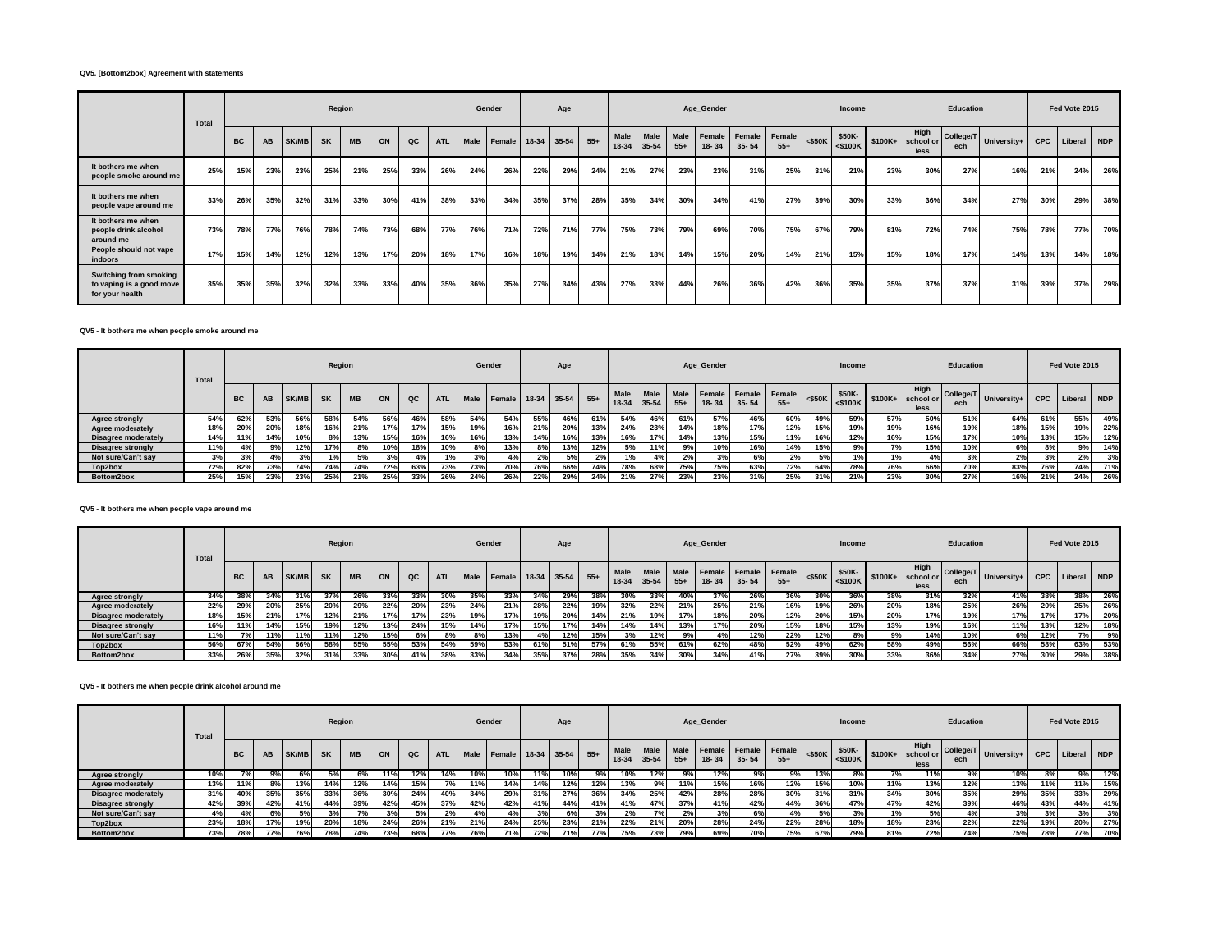# **QV5. [Bottom2box] Agreement with statements**

|                                                                              | Total |           | Region<br><b>MB</b><br>AB<br>SK/MB<br><b>SK</b><br>QC<br>ON<br><b>ATL</b> |     |     |     |     |     |     |      | Gender |     | Age         |       |                      |               |               | Age_Gender            |           |                        |           | Income               |          |                           | <b>Education</b> |             |            | Fed Vote 2015 |     |
|------------------------------------------------------------------------------|-------|-----------|---------------------------------------------------------------------------|-----|-----|-----|-----|-----|-----|------|--------|-----|-------------|-------|----------------------|---------------|---------------|-----------------------|-----------|------------------------|-----------|----------------------|----------|---------------------------|------------------|-------------|------------|---------------|-----|
|                                                                              |       | <b>BC</b> |                                                                           |     |     |     |     |     |     | Male | Female |     | 18-34 35-54 | $55+$ | <b>Male</b><br>18-34 | Male<br>35-54 | Male<br>$55+$ | Female  <br>$18 - 34$ | $35 - 54$ | Female Female<br>$55+$ | $<$ \$50K | \$50K-<br>$<$ \$100K | $$100K+$ | High<br>school or<br>less | College/T<br>ech | University+ | <b>CPC</b> | Liberal NDP   |     |
| It bothers me when<br>people smoke around me                                 | 25%   | 15%       | 23%                                                                       | 23% | 25% | 21% | 25% | 33% | 26% | 24%  | 26%    | 22% | 29%         | 24%   | 21%                  | 27%           | 23%           | 23%                   | 31%       | 25%                    | 31%       | 21%                  | 23%      | 30%                       | 27%              | 16%         | 21%        | 24%           | 26% |
| It bothers me when<br>people vape around me                                  | 33%   | 26%       | 35%                                                                       | 32% | 31% | 33% | 30% | 41% | 38% | 33%  | 34%    | 35% | 37%         | 28%   | 35%                  | 34%           | 30%           | 34%                   | 41%       | 27%                    | 39%       | 30%                  | 33%      | 36%                       | 34%              | 27%         | 30%        | 29%           | 38% |
| It bothers me when<br>people drink alcohol<br>around me                      | 73%   | 78%       | 77%                                                                       | 76% | 78% | 74% | 73% | 68% | 77% | 76%  | 71%    | 72% | 71%         | 77%   | 75%                  | 73%           | 79%           | 69%                   | 70%       | 75%                    | 67%       | 79%                  | 81%      | 72%                       | 74%              | 75%         | 78%        | 77%           | 70% |
| People should not vape<br>indoors                                            | 17%   | 15%       | 14%                                                                       | 12% | 12% | 13% | 17% | 20% | 18% | 17%  | 16%    | 18% | 19%         | 14%   | 21%                  | 18%           | 14%           | 15%                   | 20%       | 14%                    | 21%       | 15%                  | 15%      | 18%                       | 17%              | 14%         | 13%        | 14%           | 18% |
| <b>Switching from smoking</b><br>to vaping is a good move<br>for your health | 35%   | 35%       | 35%                                                                       | 32% | 32% | 33% | 33% | 40% | 35% | 36%  | 35%    | 27% | 34%         | 43%   | 27%                  | 33%           | 44%           | 26%                   | 36%       | 42%                    | 36%       | 35%                  | 35%      | 37%                       | 37%              | 31%         | 39%        | 37%           | 29% |

#### **QV5 - It bothers me when people smoke around me**

|                          | Total |           |     |              | Region    |           |     |     |            |             | Gender            |     | Age       |       |                            |      |               | Age_Gender |                                   |       |            | Income                  |          |                           | <b>Education</b> |             |            | Fed Vote 2015 |     |
|--------------------------|-------|-----------|-----|--------------|-----------|-----------|-----|-----|------------|-------------|-------------------|-----|-----------|-------|----------------------------|------|---------------|------------|-----------------------------------|-------|------------|-------------------------|----------|---------------------------|------------------|-------------|------------|---------------|-----|
|                          |       | <b>BC</b> | AB  | <b>SK/MB</b> | <b>SK</b> | <b>MB</b> | ON  | QC  | <b>ATL</b> | <b>Male</b> | $F$ emale   18-34 |     | $35 - 54$ | $55+$ | <b>Male</b><br>18-34 35-54 | Male | Male<br>$55+$ | $18 - 34$  | Female Female Female<br>$35 - 54$ | $55+$ | $<$ \$50K  | \$50K-<br>$<$ \$100 $K$ | $$100K+$ | High<br>school or<br>less | College/T<br>ech | University+ | <b>CPC</b> | Liberal       | NDP |
| <b>Agree strongly</b>    | 54%   | 62%       | 53% | 56%          | 58%       | 54%       | 56% | 46% | 58%        | 54%         | 54%               | 55% | 46%       | 61%   | 54%                        | 46%  | 61%           | 57%        | 46%                               | 60%   | 49%        | 59%                     | 57%      | 50%                       | 51%              | 64%         | 61%        | 55%           | 49% |
| Agree moderately         | 18%   | 20%       | 20% | 18%          |           | 21%       | 17% | 17% | 15%        | 19%         | 16%               | 21% | 20%       |       | 24%                        | 23%  | 14%           | 18%        | 17%                               | 12%   | 15%        | 19%                     | 19%      | 16%                       | 19%              | 18%         | 15%        | 19%           | 22% |
| Disagree moderately      | 14%   | 11%       | 14% | 10%          | 8%        | 13%       | 15% | 16% | 16%        | 16%         | 13%               | 14% | 16%       |       |                            | 17%  | 14%           | 13%        | 15%                               | 11%   | <b>16%</b> | 12%                     | 16%      | 15%                       | 17%              | 10%         | 13%        | 15%           | 12% |
| <b>Disagree strongly</b> | 11%   | 4%        | 9%  | 12%          | 17%       | 8%        | 10% | 18% | 10%        | 8%          | 13%               | 8%  | 13%       | 12%   | 5%                         | 11%  | 9%            | 10%        | 16%                               | 14%   | 15%        | 9%                      | $-0$     | 15%                       | 10%              | 6%          |            | 9%            | 14% |
| Not sure/Can't say       | 3%    | 3%        | 4%  |              | 1%        | 5%        | 3%  |     | 1%         |             | 4%                |     | 5%        | 2%    | $\frac{9}{6}$              | 4%   | 2%            | 3%         | 6%                                | 2%    | 5%         | 1%                      |          |                           | 3%               | 2%          |            | 2%            | 3%  |
| Top2box                  | 72%   | 82%       | 73% | 74%          | 74%       | 74%       | 72% | 63% | 73%        | 73%         | 70%               | 76% | 66%       | 74%   | 78%                        | 68%  | 75%           | 75%        | 63%                               | 72%   | 64%        | 78%                     | 76%      | 66%                       | <b>70%</b>       | 83%         | 76%        | 74%           | 71% |
| Bottom2box               | 25%   | 15%       | 23% | 23%          | 25%       | 21%       | 25% | 33% | 26%        | 24%         | 26%               | 22% | 29%       | 24%   | 21%                        | 27%  | 23%           | 23%        | 31%                               | 25%   | 31%        | 21%                     | 23%      | 30%                       | 27%              | 16%         | 21%        | 24%           | 26% |

# **QV5 - It bothers me when people vape around me**

|                            | Total |           |     |              | Region    |           |     |     |            |      | Gender |     | Age         |       |               |               |               | Age_Gender |                            |                 |           | Income                  |          |                           | <b>Education</b> |             |            | Fed Vote 2015 |       |
|----------------------------|-------|-----------|-----|--------------|-----------|-----------|-----|-----|------------|------|--------|-----|-------------|-------|---------------|---------------|---------------|------------|----------------------------|-----------------|-----------|-------------------------|----------|---------------------------|------------------|-------------|------------|---------------|-------|
|                            |       | <b>BC</b> | AB  | <b>SK/MB</b> | <b>SK</b> | <b>MB</b> | ON  | QC  | <b>ATL</b> | Male | Female |     | 18-34 35-54 | $55+$ | Male<br>18-34 | Male<br>35-54 | Male<br>$55+$ | $18 - 34$  | Female Female<br>$35 - 54$ | Female<br>$55+$ | $<$ \$50K | \$50K-<br>$<$ \$100 $K$ | $$100K+$ | High<br>school or<br>less | College/T<br>ech | University+ | <b>CPC</b> | Liberal       | I NDP |
| <b>Agree strongly</b>      | 34%   | 38%       | 34% |              | 37%       | 26%       | 33% | 33% | 30%        | 35%  | 33%    | 34% | 29%         | 38%   |               | 33%           | 40%           | 37%        | 26%                        | 36%             | 30%       | 36%                     | 38%      | 31%                       | 32%              | 41%         | 38%        | 38%           | 26%   |
| Agree moderately           | 22%   | 29%       | 20% | 25%          | 20%       | 29%       | 22% | 20% | 23%        | 24%  | 21%    | 28% | 22%         |       | 32%           | 22%           | 21%           | 25%        | 21%                        | 16%             | 19%       | 26%                     | 20%      | 18%                       | 25%              | 26%         | 20%        | 25%           | 26%   |
| <b>Disagree moderately</b> | 18%   | 15%       | 21% | 17%          | 12%       | 21%       | 17% | 17% | 23%        | 19%  | 17%    | 19% | 20%         | 14%   | 21%           | 19%           | 17%           | 18%        | 20%                        | 12%             | 20%       | 15%                     | 20%      | 17%                       | 19%              | 17%         | 17%        | 17%           | 20%   |
| <b>Disagree strongly</b>   | 16%   | 11%       | 14% | 15%          | 19%       | 12%       | 13% | 24% | 15%        | 14%  | 17%    | 15% | 17%         | 14%   | 14%           | 14%           | 13%           | 17%        | 20%                        | 15%             | 18%       | 15%                     | 13%      | 19%                       | 16%              | 11%         | 13%        | 12%           | 18%   |
| Not sure/Can't say         | 11%   |           | 11% |              | 11%       | 12%       | 15% | 6%  | 8%         | 8%   | 13%    | 4%  | 12%         |       |               | 12%           | 9%            | 4%         | 12%                        | 22%             | 12%       | 8%                      | 9%       | 14%                       | 10%              | 6%          | 12%        |               | 9%    |
| Top2box                    | 56%   | 67%       | 54% | 56%          | 58%       | 55%       | 55% | 53% | 54%        | 59%  | 53%    | 61% | 51%         | 57%   | 61%           | 55%           | 61%           | 62%        | 48%                        | 52%             | 49%       | 62%                     | 58%      | 49%                       | 56%              | 66%         | 58%        | 63%           | 53%   |
| Bottom2box                 | 33%   | 26%       | 35% | 32%          | 31%       | 33%       | 30% | 41% | 38%        | 33%  | 34%    | 35% | 37%         | 28%   | 35%           | 34%           | 30%           | 34%        | 41%                        | 27%             | 39%       | 30%                     | 33%      | 36%                       | 34%              | 27%         | 30%        | 29%           | 38%   |

# **QV5 - It bothers me when people drink alcohol around me**

|                            | Total |           |     |              | Region    |           |     |     |            |      | Gender        |             | Age |       |                      |               |                      | Age_Gender |                                |                 |           | Income               |          |                           | <b>Education</b> |             |     | Fed Vote 2015 |     |
|----------------------------|-------|-----------|-----|--------------|-----------|-----------|-----|-----|------------|------|---------------|-------------|-----|-------|----------------------|---------------|----------------------|------------|--------------------------------|-----------------|-----------|----------------------|----------|---------------------------|------------------|-------------|-----|---------------|-----|
|                            |       | <b>BC</b> | AB  | <b>SK/MB</b> | <b>SK</b> | <b>MB</b> | ON  | QC  | <b>ATL</b> | Male | <b>Female</b> | 18-34 35-54 |     | $55+$ | <b>Male</b><br>18-34 | Male<br>35-54 | <b>Male</b><br>$55+$ | $18 - 34$  | Female   Female  <br>$35 - 54$ | Female<br>$55+$ | $<$ \$50K | \$50K-<br>$<$ \$100K | $$100K+$ | High<br>school or<br>less | College/T<br>ech | University+ | CPC | Liberal NDP   |     |
| <b>Agree strongly</b>      | 10%   |           | 9%  | 6%           | 5%        |           | 11% | 12% | 14%        | 10%  | 10%           | 11%         | 10% | 9%    | 10%                  | 12%           | 9%                   | 12%        | 9%                             | 9%              | 13%       | 8%                   | 7%       | 11%                       | 9%               | 10%         | 8%  | 9%            | 12% |
| Agree moderately           | 13%   | 11%       | 8%  | 13%          | 14%       | 12%       | 14% | 15% | 7%         | 11%  | 14%           | 14%         | 12% | 12%   | 13%                  | 9%            | 11%                  | 15%        | 16%                            | 12%             | 15%       | 10%                  | 11%      | 13%                       | 12%              | 13%         | 11% | 11%           | 15% |
| <b>Disagree moderately</b> | 31%   | 40%       | 35% | 35%          | 33%       | 36%       | 30% | 24% | 40%        | 34%  | 29%           | 31%         | 27% | 36%   | 34%                  | 25%           | 42%                  | 28%        | 28%                            | 30%             | 31%       | 31%                  | 34%      | 30%                       | 35%              | 29%         | 35% | 33%           | 29% |
| <b>Disagree strongly</b>   | 42%   | 39%       | 42% | 41%          | 44%       | 39%       | 42% | 45% | 37%        | 42%  | 42%           | 41%         | 44% | 41%   | 41%                  | 47%           | 37%                  | 41%        | 42%                            | 44%             | 36%       | 47%                  | 47%      | 42%                       | 39%              | 46%         | 43% | 44%           | 41% |
| Not sure/Can't say         | 4%    |           | 6%  | <b>E0/</b>   | 3%        |           | 3%  | 5%  | 2%         | 4%   | 4%            | 3%          | 6%  | 3%    | 2%                   | 7%            | 2%                   | 3%         | 6%                             | 4%              | 5%        | 3%                   | 1%       | 5%                        | 4%               | 3%          |     | 3%            | 3%  |
| Top2box                    | 23%   | 18%       | 17% | 19%          | 20%       | 18%       | 24% | 26% | 21%        | 21%  | 24%           | 25%         | 23% | 21%   | 22%                  | 21%           | 20%                  | 28%        | 24%                            | 22%             | 28%       | 18%                  | 18%      | 23%                       | 22%              | 22%         | 19% | 20%           | 27% |
| Bottom2box                 | 73%   | 78%       | 77% | 76%          | 78%       | 74%       | 73% | 68% | 77%        | 76%  | 71%           | 72%         | 71% | 77%   | 75%                  | 73%           | 79%                  | 69%        | 70%                            | 75%             | 67%       | 79%                  | 81%      | 72%                       | 74%              | 75%         | 78% | 77%           | 70% |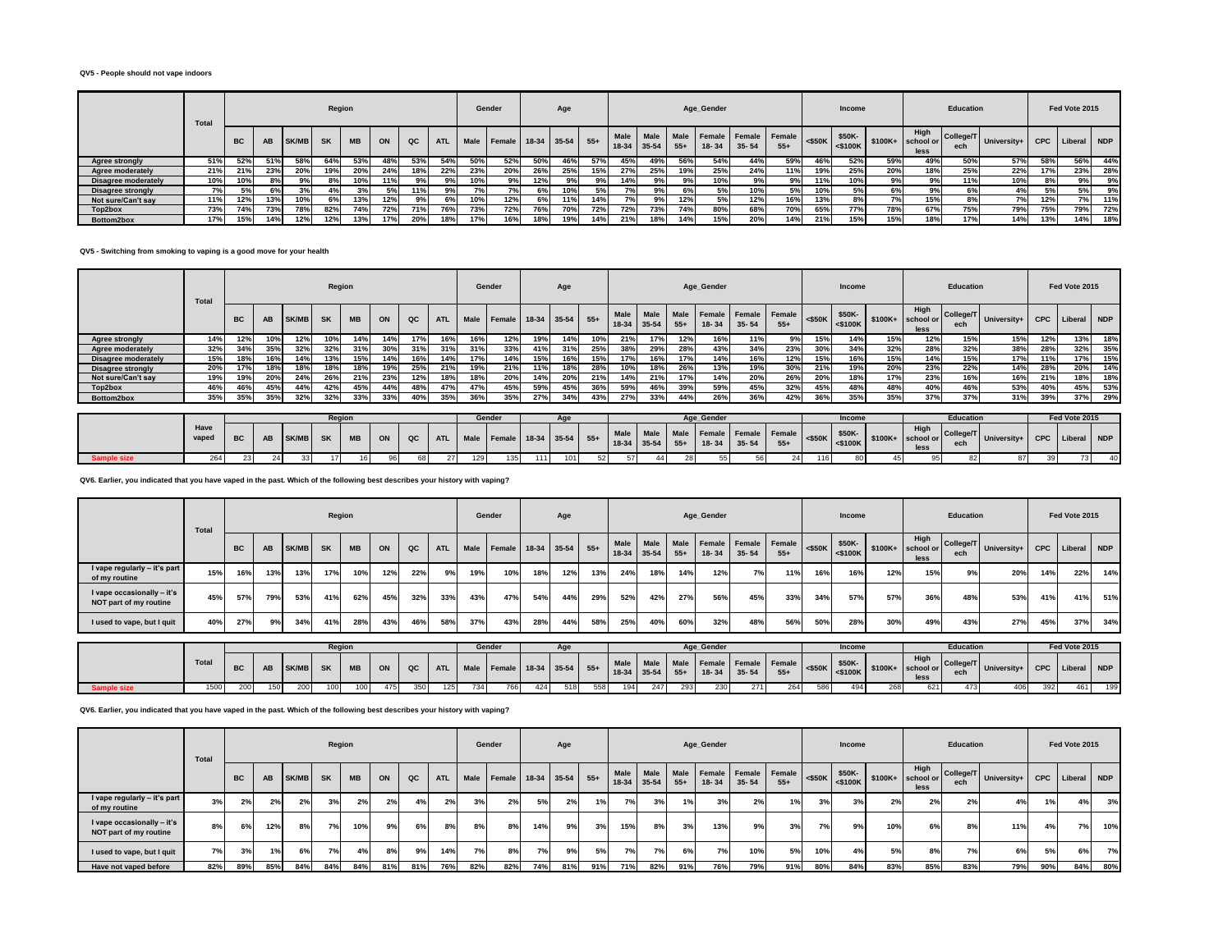#### **QV5 - People should not vape indoors**

|                          | Total |           |           |              | Region    |           |     |     |            |      | Gender        |     | Age           |       |                          |                   |               | Age_Gender |                                   |       |           | Income               |          |                           | <b>Education</b> |             |            | Fed Vote 2015 |     |
|--------------------------|-------|-----------|-----------|--------------|-----------|-----------|-----|-----|------------|------|---------------|-----|---------------|-------|--------------------------|-------------------|---------------|------------|-----------------------------------|-------|-----------|----------------------|----------|---------------------------|------------------|-------------|------------|---------------|-----|
|                          |       | <b>BC</b> | <b>AB</b> | <b>SK/MB</b> | <b>SK</b> | <b>MB</b> | ON  | QC  | <b>ATL</b> | Male | <b>Female</b> |     | $18-34$ 35-54 | $55+$ | <b>Male</b><br>$18 - 34$ | Male<br>$35 - 54$ | Male<br>$55+$ | $18 - 34$  | Female Female Female<br>$35 - 54$ | $55+$ | $<$ \$50K | \$50K-<br>$<$ \$100K | $$100K+$ | High<br>school or<br>less | College/T<br>ech | University+ | <b>CPC</b> | Liberal NDP   |     |
| <b>Agree strongly</b>    | 51%   | 52%       | 51%       |              | 64%       | 53%       | 48% | 53% | 54%        | 50%  | 52%           | 50% | 46%           | 57%   | 45%                      | 49%               | 56%           | 54%        | 44%                               | 59%   | 46%       | 52%                  | 59%      | 49%                       | 50%              | 57%         | 58%        | 56%           | 44% |
| Agree moderately         | 21%   | 21%       | 23%       | 20%          | 19%       | 20%       | 24% | 18% | 22%        | 23%  | 20%           | 26% | 25%           | 15%   | 27%                      | 25%               | 19%           | 25%        | 24%                               | 11%   | 19%       | 25%                  | 20%      | 18%                       | 25%              | 22%         | 17%        | 23%           | 28% |
| Disagree moderately      | 10%   | 10%       | 8%        | 9%           | 8%        | 10%       | 11% | 9%  | 9%         | 10%  | 9%            | 12% | 9%            | 9%    | 14%                      |                   | 9%            | 10%        | 9%                                | 9%    | 11%       | 10%                  | 9%       | 9%                        | 11%              | 10%         | 8%         | 9%            | 9%  |
| <b>Disagree strongly</b> | 7%    | 5%        | 6%        |              | 4%1       |           | 5%  | 11% | 9%         | 7%   | 7%            | 6%  | 10%           | 5%    |                          |                   | 6%            | 5%         | 10%                               | 5%    | 10%       | 5%                   | 6%       | 9%                        | 6%               | 4%          | 5%         | 5%            | 9%  |
| Not sure/Can't say       | 11%   | 12%       | 13%       | 10%          | 6%        | 13%       | 12% | 9%  |            | 10%  | 12%           | 6%  |               | 14%   |                          |                   | 12%           | 5%         | 12%                               | 16%   | 13%       | 8%                   | 7%       | 15%                       | 8%               | 7%          | 12%        | <b>7%</b>     | 11% |
| Top2box                  | 73%   | 74%       | 73%       | 78%          | 82%       | 74%       | 72% | 71% | 76%        | 73%  | 72%           | 76% | 70%           | 72%   | 72%                      | 73%               | 74%           | 80%        | 68%                               | 70%   | 65%       | 77%                  | 78%      | 67%                       | 75%              | 79%         | 75%        | 79%           | 72% |
| Bottom2box               | 17%   | 15%       | 14%       | 12%          | 12%       | 13%       | 17% | 20% | 18%        | 17%  | 16%           | 18% | 19%           | 14%   | 21%                      | 18%               | 14%           | 15%        | 20%                               | 14%   | 21%       | 15%                  | 15%      | 18%                       | 17%              | 14%         | 13%        | 14%           | 18% |

**QV5 - Switching from smoking to vaping is a good move for your health**

|                       | Total         |           |           |              | Region    |           |     |     |            |      | Gender             |             | Age |       |                     |               |                      | Age_Gender                 |                            |                 |           | Income                  |          |                           | <b>Education</b> |             |     | Fed Vote 2015   |     |
|-----------------------|---------------|-----------|-----------|--------------|-----------|-----------|-----|-----|------------|------|--------------------|-------------|-----|-------|---------------------|---------------|----------------------|----------------------------|----------------------------|-----------------|-----------|-------------------------|----------|---------------------------|------------------|-------------|-----|-----------------|-----|
|                       |               | <b>BC</b> | AB        | <b>SK/MB</b> | <b>SK</b> | <b>MB</b> | ON  | QC  | <b>ATL</b> | Male | Female             | 18-34 35-54 |     | $55+$ | Male<br>18-34       | Male<br>35-54 | Male<br>$55+$        | <b>Female</b><br>$18 - 34$ | Female<br>$35 - 54$        | Female<br>$55+$ | $<$ \$50K | \$50K-<br>$<$ \$100K    | $$100K+$ | High<br>school or<br>less | College/T<br>ech | University+ | CPC | Liberal NDP     |     |
| <b>Agree strongly</b> | 14%           | 12%       | 10%       | 12%          | 10%       | 14%       | 14% | 17% | 16%        | 16%  | 12%                | 19%         | 14% | 10%   | 21%                 | 17%           | 12%                  | 16%                        | 11%                        | 9%              | 15%       | 14%                     | 15%      | 12%                       | 15%              | 15%         | 12% | 13%             | 18% |
| Agree moderately      | 32%           | 34%       | 35%       |              | 32%       |           | 30% | 31% | 31%        | 31%  | 33%                | 41%         | 31% | 25%   |                     | 29%           | 28%                  | 43%                        | 34%                        | 23%             | 30%       | 34%                     | 32%      | 28%                       | 32%              | 38%         | 28% | 32%             | 35% |
| Disagree moderately   | 15%           | 18%       | 16%       | 14%          | 13%       | 15%       | 14% | 16% | 14%        | 17%  | 14%                | 15%         | 16% |       | 17%                 | 16%           | 17%                  | 14%                        | 16%                        | 12%             | 15%       | 16%                     | 15%      | 14%                       | 15%              | 17%         | 11% | 17%             | 15% |
| Disagree strongly     | 20%           | 17%       | 18%       | 18%          | 18%       | 18%       | 19% | 25% | 21%        | 19%  | 21%                | 11%         | 18% | 28%   | 10%                 | 18%           | 26%                  | 13%                        | 19%                        | 30%             | 21%       | 19%                     | 20%      | 23%                       | 22%              | 14%         | 28% | 20%             | 14% |
| Not sure/Can't say    | 19%           | 19%       | 20%       | 24%          | 26%       | 21%       | 23% | 12% | 18%        | 18%  | 20%                | 14%         | 20% | 21%   | 14%                 | 21%           | 17%                  | 14%                        | 20%                        | 26%             | 20%       | 18%                     | 17%      | 23%                       | 16%              | 16%         | 21% | 18%             | 18% |
| Top2box               | 46%           | 46%       | 45%       | 44%          | 42%       | 45%       | 44% | 48% | 47%        | 47%  | 45%                | 59%         | 45% | 36%   | 59%                 | 46%           | 39%                  | 59%                        | 45%                        | 32%             | 45%       | 48%                     | 48%      | 40%                       | 46%              | 53%         | 40% | 45%             | 53% |
| Bottom2box            | 35%           | 35%       | 35%       | 32%          | 32%       | 33%       | 33% | 40% | 35%        | 36%  | 35%                | 27%         | 34% | 43%   | 27%                 | 33%           | 44%                  | 26%                        | 36%                        | 42%             | 36%       | 35%                     | 35%      | 37%                       | 37%              | 31%         | 39% | 37%             | 29% |
|                       |               |           |           |              |           |           |     |     |            |      |                    |             |     |       |                     |               |                      |                            |                            |                 |           |                         |          |                           |                  |             |     |                 |     |
|                       |               |           |           |              | Region    |           |     |     |            |      | Gender             |             | Age |       |                     |               |                      | Age Gender                 |                            |                 |           | Income                  |          |                           | <b>Education</b> |             |     | Fed Vote 2015   |     |
|                       | Have<br>vaped | <b>BC</b> | <b>AB</b> | <b>SK/MB</b> | <b>SK</b> | <b>MB</b> | ON  | QC  | <b>ATL</b> | Male | Female 18-34 35-54 |             |     | $55+$ | Male<br>18-34 35-54 | Male          | <b>Male</b><br>$55+$ | $18 - 34$                  | Female Female<br>$35 - 54$ | Female<br>$55+$ | $<$ \$50K | \$50K-<br>$<$ \$100 $K$ | $$100K+$ | High<br>school or<br>less | College/T<br>ech | University+ |     | CPC Liberal NDP |     |

**Sample size** 264 23 24 33 17 16 96 68 27 129 135 111 101 52 57 44 28 55 56 24 116 80 45 95 82 87 39 73 40

**QV6. Earlier, you indicated that you have vaped in the past. Which of the following best describes your history with vaping?**

|                                                      | Total |           |           |       | Region    |           |     |     |            |     | Gender                        |     | Age |       |      |                            |       | Age_Gender |           |                                    |           | Income               |          |                           | <b>Education</b> |                           |     | Fed Vote 2015   |     |
|------------------------------------------------------|-------|-----------|-----------|-------|-----------|-----------|-----|-----|------------|-----|-------------------------------|-----|-----|-------|------|----------------------------|-------|------------|-----------|------------------------------------|-----------|----------------------|----------|---------------------------|------------------|---------------------------|-----|-----------------|-----|
|                                                      |       | <b>BC</b> | <b>AB</b> | SK/MB | <b>SK</b> | <b>MB</b> | ON  | QC  | <b>ATL</b> |     | Male   Female   18-34   35-54 |     |     | $55+$ | Male | <b>Male</b><br>18-34 35-54 | $55+$ | 18-34      | $35 - 54$ | Male Female Female Female<br>$55+$ | $<$ \$50K | \$50K-<br>$<$ \$100K | $$100K+$ | High<br>school or<br>less | ech              | College/T University+   C |     | CPC Liberal NDP |     |
| I vape regularly - it's part<br>of my routine        | 15%   | 16%       | 13%       | 13%   | 17%       | 10%       | 12% | 22% | 9%         | 19% | 10%                           | 18% | 12% | 13%   | 24%  | 18%                        | 14%   | 12%        | 7%        | 11%                                | 16%       | 16%                  | 12%      | 15%                       | 9%               | 20%                       | 14% | 22%             | 14% |
| I vape occasionally - it's<br>NOT part of my routine | 45%   | 57%       | 79%       | 53%   | 41%       | 62%       | 45% | 32% | 33%        | 43% | 47%                           | 54% | 44% | 29%   | 52%  | 42%                        | 27%   | 56%        | 45%       | 33%                                | 34%       | 57%                  | 57%      | 36%                       | 48%              | 53%                       | 41% | 41%             | 51% |
| I used to vape, but I quit                           | 40%   | 27%       | 9%        | 34%   | 41%       | 28%       | 43% | 46% | 58%        | 37% | 43%                           | 28% | 44% | 58%   | 25%  | 40%                        | 60%   | 32%        | 48%       | 56%                                | 50%       | 28%                  | 30%      | 49%                       | 43%              | 27%                       | 45% | 37%             | 34% |

|       |     |                  | Regior |     |     |     |     |     | Gender |     |     |     |     |     |     | Age Gender |     |     |     | Income |     |              | <b>Education</b> |                                                                                                                                                                                                                                                  |     | Fed Vote 2015 |     |
|-------|-----|------------------|--------|-----|-----|-----|-----|-----|--------|-----|-----|-----|-----|-----|-----|------------|-----|-----|-----|--------|-----|--------------|------------------|--------------------------------------------------------------------------------------------------------------------------------------------------------------------------------------------------------------------------------------------------|-----|---------------|-----|
| Total |     | AB               |        |     |     |     |     |     |        |     |     |     |     |     |     |            |     |     |     |        |     | High<br>less |                  | 3 SK/MB SK MB ON QC ATL Male Female 18-34 35-54 55+ Male Male Male Female Female Female SSOK- \$50K- \$50K- \$50K- \$50K- \$500K- \$500K- \$100K+ \$100K+ \$100K+ \$100K+ \$100K+ \$100K+ \$100K+ \$100K+ \$100K+ \$100K+ \$100K+ \$100K+ \$100K |     |               |     |
| 1500  | 200 | 150 <sup>1</sup> | 100    | 100 | 475 | 350 | 125 | 734 | 766    | 424 | 518 | 558 | 194 | 247 | 293 | 230        | 271 | 264 | 586 | 494    | 268 | 621.         |                  | 406                                                                                                                                                                                                                                              | 392 | 461           | 199 |

**QV6. Earlier, you indicated that you have vaped in the past. Which of the following best describes your history with vaping?**

|                                                      | Total |           |     |              | Region    |           |     |     |            |             | Gender |     | Age         |       |                       |             |       | Age_Gender |                                        |       |           | Income                  |         |                           | Education |                         |            | Fed Vote 2015 |     |
|------------------------------------------------------|-------|-----------|-----|--------------|-----------|-----------|-----|-----|------------|-------------|--------|-----|-------------|-------|-----------------------|-------------|-------|------------|----------------------------------------|-------|-----------|-------------------------|---------|---------------------------|-----------|-------------------------|------------|---------------|-----|
|                                                      |       | <b>BC</b> | AB  | <b>SK/MB</b> | <b>SK</b> | <b>MB</b> | ON  | QC  | <b>ATL</b> | <b>Male</b> | Female |     | 18-34 35-54 | $55+$ | Male<br>$18-34$ 35-54 | <b>Male</b> | $55+$ | 18-34      | Male Female Female Female<br>$35 - 54$ | $55+$ | $<$ \$50K | \$50K-<br>$<$ \$100 $K$ | \$100K+ | High<br>school or<br>less | ech       | College/T University+ I | <b>CPC</b> | Liberal NDP   |     |
| I vape regularly - it's part<br>of my routine        | 3%    | 2%        | 2%  | 2%           | 3%        | 2%        | 2%  | 4%  | 2%         | 3%          | 2%     | 5%  | 2%          |       | 7%1                   | 3%          | 1%    | 3%         | 2%                                     | 1%    | 3%        | 3%                      | 2%      | 2%                        | 2%        | 4%                      |            | 4%            | 3%  |
| I vape occasionally - it's<br>NOT part of my routine | 8%    | 6%        | 12% | 8%           | 70/       | 10%       | 9%1 | 6%  | 8%         | 8%          | 8%     | 14% | 9%          | 3%    | 15%                   | 8%          | 3%    | 13%        | 9%                                     | 3%    | 7%        | 9%                      | 10%     | 6%                        | 8%        | 11%                     | 4%         | 7%            | 10% |
| I used to vape, but I quit                           | 7%    | 3%        |     | 6%           | 7%        | 4%        | 8%  | 9%  | 14%        | 7%          | 8%     | 7%  | 9%          | 5%    | 7%                    | 7%          | 6%    | 7%         | 10%                                    | 5%    | 10%       | 4%                      | 5%      | 8%                        | 7%        | 6%                      | 5%         | 6%            | 7%I |
| Have not vaped before                                | 82%   | 89%       | 85% | 84%          | 84%       | 84%       | 81% | 81% | 76%        | 82%         | 82%    | 74% | 81%         | 91%   | 71%                   | 82%         | 91%   | 76%        | 79%                                    | 91%   | 80%       | 84%                     | 83%     | 85%                       | 83%       | 79%                     | 90%        | 84%           | 80% |